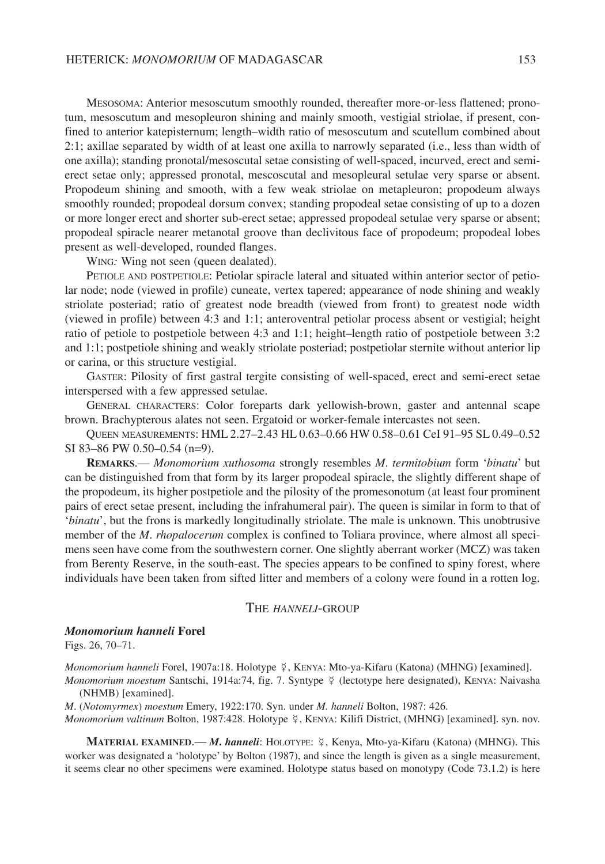MESOSOMA: Anterior mesoscutum smoothly rounded, thereafter more-or-less flattened; pronotum, mesoscutum and mesopleuron shining and mainly smooth, vestigial striolae, if present, confined to anterior katepisternum; length–width ratio of mesoscutum and scutellum combined about 2:1; axillae separated by width of at least one axilla to narrowly separated (i.e., less than width of one axilla); standing pronotal/mesoscutal setae consisting of well-spaced, incurved, erect and semierect setae only; appressed pronotal, mescoscutal and mesopleural setulae very sparse or absent. Propodeum shining and smooth, with a few weak striolae on metapleuron; propodeum always smoothly rounded; propodeal dorsum convex; standing propodeal setae consisting of up to a dozen or more longer erect and shorter sub-erect setae; appressed propodeal setulae very sparse or absent; propodeal spiracle nearer metanotal groove than declivitous face of propodeum; propodeal lobes present as well-developed, rounded flanges.

WING*:* Wing not seen (queen dealated).

PETIOLE AND POSTPETIOLE: Petiolar spiracle lateral and situated within anterior sector of petiolar node; node (viewed in profile) cuneate, vertex tapered; appearance of node shining and weakly striolate posteriad; ratio of greatest node breadth (viewed from front) to greatest node width (viewed in profile) between 4:3 and 1:1; anteroventral petiolar process absent or vestigial; height ratio of petiole to postpetiole between 4:3 and 1:1; height–length ratio of postpetiole between 3:2 and 1:1; postpetiole shining and weakly striolate posteriad; postpetiolar sternite without anterior lip or carina, or this structure vestigial.

GASTER: Pilosity of first gastral tergite consisting of well-spaced, erect and semi-erect setae interspersed with a few appressed setulae.

GENERAL CHARACTERS: Color foreparts dark yellowish-brown, gaster and antennal scape brown. Brachypterous alates not seen. Ergatoid or worker-female intercastes not seen.

QUEEN MEASUREMENTS: HML 2.27–2.43 HL 0.63–0.66 HW 0.58–0.61 CeI 91–95 SL 0.49–0.52 SI 83–86 PW 0.50–0.54 (n=9).

**REMARKS**.— *Monomorium xuthosoma* strongly resembles *M*. *termitobium* form '*binatu*' but can be distinguished from that form by its larger propodeal spiracle, the slightly different shape of the propodeum, its higher postpetiole and the pilosity of the promesonotum (at least four prominent pairs of erect setae present, including the infrahumeral pair). The queen is similar in form to that of '*binatu*', but the frons is markedly longitudinally striolate. The male is unknown. This unobtrusive member of the *M*. *rhopalocerum* complex is confined to Toliara province, where almost all specimens seen have come from the southwestern corner. One slightly aberrant worker (MCZ) was taken from Berenty Reserve, in the south-east. The species appears to be confined to spiny forest, where individuals have been taken from sifted litter and members of a colony were found in a rotten log.

## THE *HANNELI*-GROUP

## *Monomorium hanneli* **Forel**

Figs. 26, 70–71.

Monomorium hanneli Forel, 1907a:18. Holotype ¥, KENYA: Mto-ya-Kifaru (Katona) (MHNG) [examined].

Monomorium moestum Santschi, 1914a:74, fig. 7. Syntype ¥ (lectotype here designated), KENYA: Naivasha (NHMB) [examined].

*M*. (*Notomyrmex*) *moestum* Emery, 1922:170. Syn. under *M. hanneli* Bolton, 1987: 426.

Monomorium valtinum Bolton, 1987:428. Holotype \?, KENYA: Kilifi District, (MHNG) [examined]. syn. nov.

**MATERIAL EXAMINED**.— *M***.** *hanneli*: HOLOTYPE: , Kenya, Mto-ya-Kifaru (Katona) (MHNG). This worker was designated a 'holotype' by Bolton (1987), and since the length is given as a single measurement, it seems clear no other specimens were examined. Holotype status based on monotypy (Code 73.1.2) is here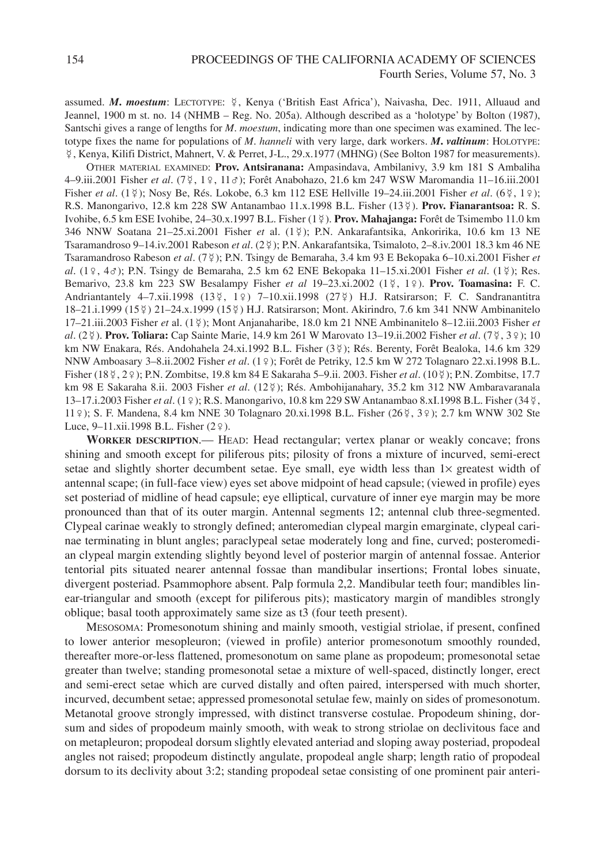assumed. *M. moestum*: LECTOTYPE:  $\frac{5}{7}$ , Kenya ('British East Africa'), Naivasha, Dec. 1911, Alluaud and Jeannel, 1900 m st. no. 14 (NHMB – Reg. No. 205a). Although described as a 'holotype' by Bolton (1987), Santschi gives a range of lengths for *M*. *moestum*, indicating more than one specimen was examined. The lectotype fixes the name for populations of *M*. *hanneli* with very large, dark workers. *M***.** *valtinum*: HOLOTYPE: , Kenya, Kilifi District, Mahnert, V. & Perret, J-L., 29.x.1977 (MHNG) (See Bolton 1987 for measurements).

OTHER MATERIAL EXAMINED: **Prov. Antsiranana:** Ampasindava, Ambilanivy, 3.9 km 181 S Ambaliha 4–9.iii.2001 Fisher *et al*. (7 , 1♀, 11♂); Forêt Anabohazo, 21.6 km 247 WSW Maromandia 11–16.iii.2001 Fisher *et al*. (1 ); Nosy Be, Rés. Lokobe, 6.3 km 112 ESE Hellville 19–24.iii.2001 Fisher *et al*. (6 , 1♀); R.S. Manongarivo, 12.8 km 228 SW Antanambao 11.x.1998 B.L. Fisher (13 ). **Prov. Fianarantsoa:** R. S. Ivohibe, 6.5 km ESE Ivohibe, 24–30.x.1997 B.L. Fisher (1 ). **Prov. Mahajanga:** Forêt de Tsimembo 11.0 km 346 NNW Soatana 21–25.xi.2001 Fisher *et* al. (1 ); P.N. Ankarafantsika, Ankoririka, 10.6 km 13 NE Tsaramandroso 9–14.iv.2001 Rabeson *et al*. (2 ); P.N. Ankarafantsika, Tsimaloto, 2–8.iv.2001 18.3 km 46 NE Tsaramandroso Rabeson *et al*. (7 ); P.N. Tsingy de Bemaraha, 3.4 km 93 E Bekopaka 6–10.xi.2001 Fisher *et al*. (1♀, 4♂); P.N. Tsingy de Bemaraha, 2.5 km 62 ENE Bekopaka 11–15.xi.2001 Fisher *et al*. (1 ); Res. Bemarivo, 23.8 km 223 SW Besalampy Fisher *et al* 19–23.xi.2002 (1 , 1♀). **Prov. Toamasina:** F. C. Andriantantely 4–7.xii.1998 (13¥, 1♀) 7–10.xii.1998 (27¥) H.J. Ratsirarson; F. C. Sandranantitra 18–21.i.1999 (15 ) 21–24.x.1999 (15 ) H.J. Ratsirarson; Mont. Akirindro, 7.6 km 341 NNW Ambinanitelo 17–21.iii.2003 Fisher *et* al. (1 ); Mont Anjanaharibe, 18.0 km 21 NNE Ambinanitelo 8–12.iii.2003 Fisher *et al*. (2 ). **Prov. Toliara:** Cap Sainte Marie, 14.9 km 261 W Marovato 13–19.ii.2002 Fisher *et al*. (7 , 3♀); 10 km NW Enakara, Rés. Andohahela 24.xi.1992 B.L. Fisher (3\2); Rés. Berenty, Forêt Bealoka, 14.6 km 329 NNW Amboasary 3–8.ii.2002 Fisher *et al*. (1♀); Forêt de Petriky, 12.5 km W 272 Tolagnaro 22.xi.1998 B.L. Fisher (18 , 2♀); P.N. Zombitse, 19.8 km 84 E Sakaraha 5–9.ii. 2003. Fisher *et al*. (10 ); P.N. Zombitse, 17.7 km 98 E Sakaraha 8.ii. 2003 Fisher *et al*. (12 ); Rés. Ambohijanahary, 35.2 km 312 NW Ambaravaranala 13–17.i.2003 Fisher *et al*. (1♀); R.S. Manongarivo, 10.8 km 229 SW Antanambao 8.xI.1998 B.L. Fisher (34 , 11♀); S. F. Mandena, 8.4 km NNE 30 Tolagnaro 20.xi.1998 B.L. Fisher (26 , 3♀); 2.7 km WNW 302 Ste Luce, 9–11.xii.1998 B.L. Fisher (2♀).

**WORKER DESCRIPTION**.— HEAD: Head rectangular; vertex planar or weakly concave; frons shining and smooth except for piliferous pits; pilosity of frons a mixture of incurved, semi-erect setae and slightly shorter decumbent setae. Eye small, eye width less than  $1\times$  greatest width of antennal scape; (in full-face view) eyes set above midpoint of head capsule; (viewed in profile) eyes set posteriad of midline of head capsule; eye elliptical, curvature of inner eye margin may be more pronounced than that of its outer margin. Antennal segments 12; antennal club three-segmented. Clypeal carinae weakly to strongly defined; anteromedian clypeal margin emarginate, clypeal carinae terminating in blunt angles; paraclypeal setae moderately long and fine, curved; posteromedian clypeal margin extending slightly beyond level of posterior margin of antennal fossae. Anterior tentorial pits situated nearer antennal fossae than mandibular insertions; Frontal lobes sinuate, divergent posteriad. Psammophore absent. Palp formula 2,2. Mandibular teeth four; mandibles linear-triangular and smooth (except for piliferous pits); masticatory margin of mandibles strongly oblique; basal tooth approximately same size as t3 (four teeth present).

MESOSOMA: Promesonotum shining and mainly smooth, vestigial striolae, if present, confined to lower anterior mesopleuron; (viewed in profile) anterior promesonotum smoothly rounded, thereafter more-or-less flattened, promesonotum on same plane as propodeum; promesonotal setae greater than twelve; standing promesonotal setae a mixture of well-spaced, distinctly longer, erect and semi-erect setae which are curved distally and often paired, interspersed with much shorter, incurved, decumbent setae; appressed promesonotal setulae few, mainly on sides of promesonotum. Metanotal groove strongly impressed, with distinct transverse costulae. Propodeum shining, dorsum and sides of propodeum mainly smooth, with weak to strong striolae on declivitous face and on metapleuron; propodeal dorsum slightly elevated anteriad and sloping away posteriad, propodeal angles not raised; propodeum distinctly angulate, propodeal angle sharp; length ratio of propodeal dorsum to its declivity about 3:2; standing propodeal setae consisting of one prominent pair anteri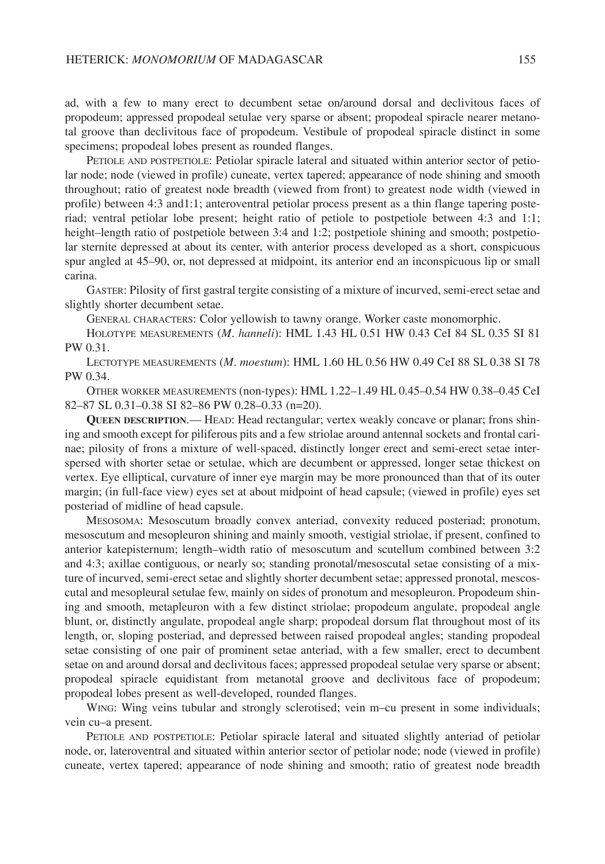ad, with a few to many erect to decumbent setae on/around dorsal and declivitous faces of propodeum; appressed propodeal setulae very sparse or absent; propodeal spiracle nearer metanotal groove than declivitous face of propodeum. Vestibule of propodeal spiracle distinct in some specimens; propodeal lobes present as rounded flanges.

PETIOLE AND POSTPETIOLE: Petiolar spiracle lateral and situated within anterior sector of petiolar node; node (viewed in profile) cuneate, vertex tapered; appearance of node shining and smooth throughout; ratio of greatest node breadth (viewed from front) to greatest node width (viewed in profile) between 4:3 and1:1; anteroventral petiolar process present as a thin flange tapering posteriad; ventral petiolar lobe present; height ratio of petiole to postpetiole between 4:3 and 1:1; height–length ratio of postpetiole between 3:4 and 1:2; postpetiole shining and smooth; postpetiolar sternite depressed at about its center, with anterior process developed as a short, conspicuous spur angled at 45–90, or, not depressed at midpoint, its anterior end an inconspicuous lip or small carina.

GASTER: Pilosity of first gastral tergite consisting of a mixture of incurved, semi-erect setae and slightly shorter decumbent setae.

GENERAL CHARACTERS: Color yellowish to tawny orange. Worker caste monomorphic.

HOLOTYPE MEASUREMENTS (*M*. *hanneli*): HML 1.43 HL 0.51 HW 0.43 CeI 84 SL 0.35 SI 81 PW 0.31.

LECTOTYPE MEASUREMENTS (*M*. *moestum*): HML 1.60 HL 0.56 HW 0.49 CeI 88 SL 0.38 SI 78 PW 0.34.

OTHER WORKER MEASUREMENTS (non-types): HML 1.22–1.49 HL 0.45–0.54 HW 0.38–0.45 CeI 82–87 SL 0.31–0.38 SI 82–86 PW 0.28–0.33 (n=20).

**QUEEN DESCRIPTION**.— HEAD: Head rectangular; vertex weakly concave or planar; frons shining and smooth except for piliferous pits and a few striolae around antennal sockets and frontal carinae; pilosity of frons a mixture of well-spaced, distinctly longer erect and semi-erect setae interspersed with shorter setae or setulae, which are decumbent or appressed, longer setae thickest on vertex. Eye elliptical, curvature of inner eye margin may be more pronounced than that of its outer margin; (in full-face view) eyes set at about midpoint of head capsule; (viewed in profile) eyes set posteriad of midline of head capsule.

MESOSOMA: Mesoscutum broadly convex anteriad, convexity reduced posteriad; pronotum, mesoscutum and mesopleuron shining and mainly smooth, vestigial striolae, if present, confined to anterior katepisternum; length–width ratio of mesoscutum and scutellum combined between 3:2 and 4:3; axillae contiguous, or nearly so; standing pronotal/mesoscutal setae consisting of a mixture of incurved, semi-erect setae and slightly shorter decumbent setae; appressed pronotal, mescoscutal and mesopleural setulae few, mainly on sides of pronotum and mesopleuron. Propodeum shining and smooth, metapleuron with a few distinct striolae; propodeum angulate, propodeal angle blunt, or, distinctly angulate, propodeal angle sharp; propodeal dorsum flat throughout most of its length, or, sloping posteriad, and depressed between raised propodeal angles; standing propodeal setae consisting of one pair of prominent setae anteriad, with a few smaller, erect to decumbent setae on and around dorsal and declivitous faces; appressed propodeal setulae very sparse or absent; propodeal spiracle equidistant from metanotal groove and declivitous face of propodeum; propodeal lobes present as well-developed, rounded flanges.

WING: Wing veins tubular and strongly sclerotised; vein m-cu present in some individuals; vein cu–a present.

PETIOLE AND POSTPETIOLE: Petiolar spiracle lateral and situated slightly anteriad of petiolar node, or, lateroventral and situated within anterior sector of petiolar node; node (viewed in profile) cuneate, vertex tapered; appearance of node shining and smooth; ratio of greatest node breadth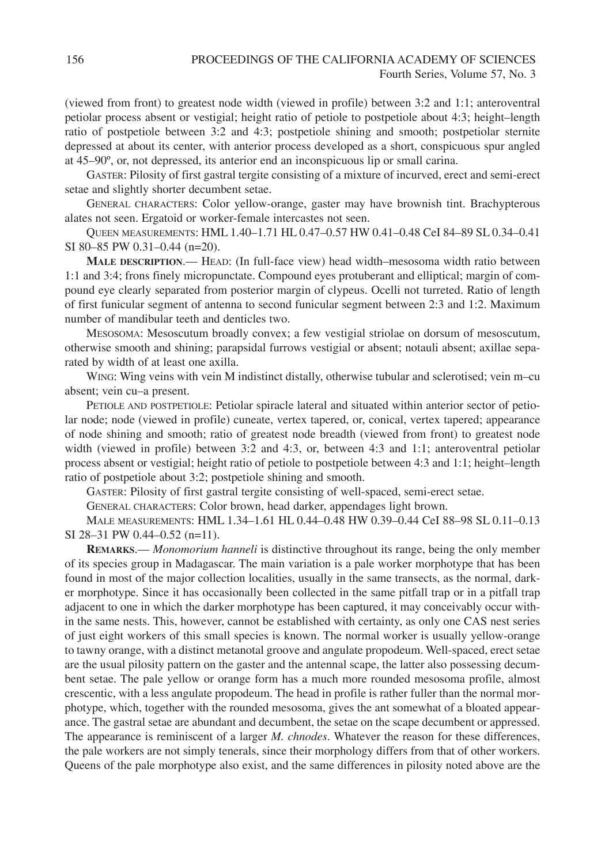(viewed from front) to greatest node width (viewed in profile) between 3:2 and 1:1; anteroventral petiolar process absent or vestigial; height ratio of petiole to postpetiole about 4:3; height–length ratio of postpetiole between 3:2 and 4:3; postpetiole shining and smooth; postpetiolar sternite depressed at about its center, with anterior process developed as a short, conspicuous spur angled at 45–90º, or, not depressed, its anterior end an inconspicuous lip or small carina.

GASTER: Pilosity of first gastral tergite consisting of a mixture of incurved, erect and semi-erect setae and slightly shorter decumbent setae.

GENERAL CHARACTERS: Color yellow-orange, gaster may have brownish tint. Brachypterous alates not seen. Ergatoid or worker-female intercastes not seen.

QUEEN MEASUREMENTS: HML 1.40–1.71 HL 0.47–0.57 HW 0.41–0.48 CeI 84–89 SL 0.34–0.41 SI 80–85 PW 0.31–0.44 (n=20).

**MALE DESCRIPTION**.— HEAD: (In full-face view) head width–mesosoma width ratio between 1:1 and 3:4; frons finely micropunctate. Compound eyes protuberant and elliptical; margin of compound eye clearly separated from posterior margin of clypeus. Ocelli not turreted. Ratio of length of first funicular segment of antenna to second funicular segment between 2:3 and 1:2. Maximum number of mandibular teeth and denticles two.

MESOSOMA: Mesoscutum broadly convex; a few vestigial striolae on dorsum of mesoscutum, otherwise smooth and shining; parapsidal furrows vestigial or absent; notauli absent; axillae separated by width of at least one axilla.

WING: Wing veins with vein M indistinct distally, otherwise tubular and sclerotised; vein m–cu absent; vein cu–a present.

PETIOLE AND POSTPETIOLE: Petiolar spiracle lateral and situated within anterior sector of petiolar node; node (viewed in profile) cuneate, vertex tapered, or, conical, vertex tapered; appearance of node shining and smooth; ratio of greatest node breadth (viewed from front) to greatest node width (viewed in profile) between 3:2 and 4:3, or, between 4:3 and 1:1; anteroventral petiolar process absent or vestigial; height ratio of petiole to postpetiole between 4:3 and 1:1; height–length ratio of postpetiole about 3:2; postpetiole shining and smooth.

GASTER: Pilosity of first gastral tergite consisting of well-spaced, semi-erect setae.

GENERAL CHARACTERS: Color brown, head darker, appendages light brown.

MALE MEASUREMENTS: HML 1.34–1.61 HL 0.44–0.48 HW 0.39–0.44 CeI 88–98 SL 0.11–0.13 SI 28–31 PW 0.44–0.52 (n=11).

**REMARKS**.— *Monomorium hanneli* is distinctive throughout its range, being the only member of its species group in Madagascar. The main variation is a pale worker morphotype that has been found in most of the major collection localities, usually in the same transects, as the normal, darker morphotype. Since it has occasionally been collected in the same pitfall trap or in a pitfall trap adjacent to one in which the darker morphotype has been captured, it may conceivably occur within the same nests. This, however, cannot be established with certainty, as only one CAS nest series of just eight workers of this small species is known. The normal worker is usually yellow-orange to tawny orange, with a distinct metanotal groove and angulate propodeum. Well-spaced, erect setae are the usual pilosity pattern on the gaster and the antennal scape, the latter also possessing decumbent setae. The pale yellow or orange form has a much more rounded mesosoma profile, almost crescentic, with a less angulate propodeum. The head in profile is rather fuller than the normal morphotype, which, together with the rounded mesosoma, gives the ant somewhat of a bloated appearance. The gastral setae are abundant and decumbent, the setae on the scape decumbent or appressed. The appearance is reminiscent of a larger *M. chnodes*. Whatever the reason for these differences, the pale workers are not simply tenerals, since their morphology differs from that of other workers. Queens of the pale morphotype also exist, and the same differences in pilosity noted above are the